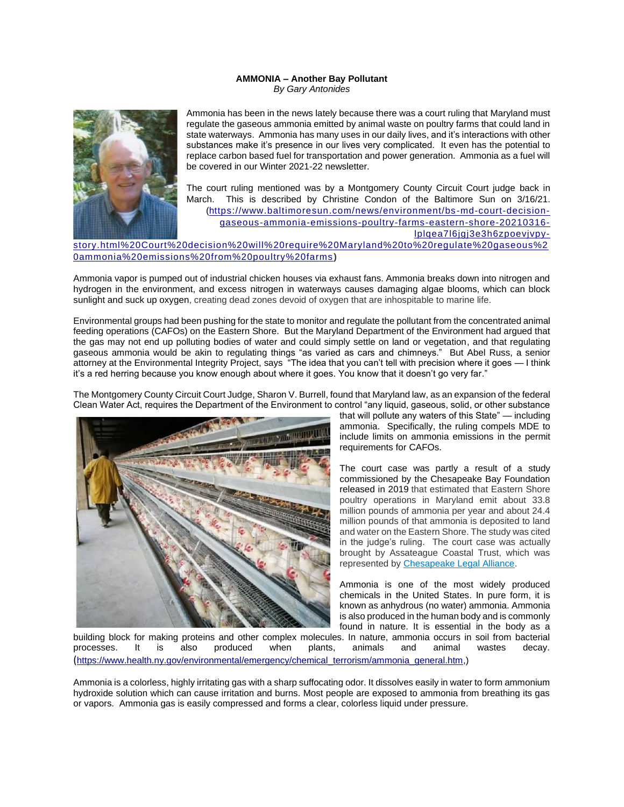## **AMMONIA – Another Bay Pollutant** *By Gary Antonides*



Ammonia has been in the news lately because there was a court ruling that Maryland must regulate the gaseous ammonia emitted by animal waste on poultry farms that could land in state waterways. Ammonia has many uses in our daily lives, and it's interactions with other substances make it's presence in our lives very complicated. It even has the potential to replace carbon based fuel for transportation and power generation. Ammonia as a fuel will be covered in our Winter 2021-22 newsletter.

The court ruling mentioned was by a Montgomery County Circuit Court judge back in March. This is described by Christine Condon of the Baltimore Sun on 3/16/21. (https://www.baltimoresun.com/news/environment/bs -md-court-decisiongaseous-ammonia-emissions-poultry-farms-eastern-shore-20210316 lplqea7l6jgj3e3h6zpoevjvpystory.html%20Court%20decision%20will%20require%20Maryland%20to%20regulate%20gaseous%2 0ammonia%20emissions%20from%20poultry%20farms **)** 

Ammonia vapor is pumped out of industrial chicken houses via exhaust fans. Ammonia breaks down into nitrogen and hydrogen in the environment, and excess nitrogen in waterways causes damaging algae blooms, which can block sunlight and suck up oxygen, creating dead zones devoid of oxygen that are inhospitable to marine life.

Environmental groups had been pushing for the state to monitor and regulate the pollutant from the concentrated animal feeding operations (CAFOs) on the Eastern Shore. But the Maryland Department of the Environment had argued that the gas may not end up polluting bodies of water and could simply settle on land or vegetation, and that regulating gaseous ammonia would be akin to regulating things "as varied as cars and chimneys." But Abel Russ, a senior attorney at the Environmental Integrity Project, says "The idea that you can't tell with precision where it goes — I think it's a red herring because you know enough about where it goes. You know that it doesn't go very far."

The Montgomery County Circuit Court Judge, Sharon V. Burrell, found that Maryland law, as an expansion of the federal Clean Water Act, requires the Department of the Environment to control "any liquid, gaseous, solid, or other substance



that will pollute any waters of this State" — including ammonia. Specifically, the ruling compels MDE to include limits on ammonia emissions in the permit requirements for CAFOs.

The court case was partly a result of a study commissioned by the Chesapeake Bay Foundation released in 2019 that estimated that Eastern Shore poultry operations in Maryland emit about 33.8 million pounds of ammonia per year and about 24.4 million pounds of that ammonia is deposited to land and water on the Eastern Shore. The study was cited in the judge's ruling. The court case was actually brought by Assateague Coastal Trust, which was represented by Chesapeake Legal Alliance.

Ammonia is one of the most widely produced chemicals in the United States. In pure form, it is known as anhydrous (no water) ammonia. Ammonia is also produced in the human body and is commonly found in nature. It is essential in the body as a

building block for making proteins and other complex molecules. In nature, ammonia occurs in soil from bacterial processes. It is also produced when plants, animals and animal wastes decay. (https://www.health.ny.gov/environmental/emergency/chemical\_terrorism/ammonia\_general.htm,)

Ammonia is a colorless, highly irritating gas with a sharp suffocating odor. It dissolves easily in water to form ammonium hydroxide solution which can cause irritation and burns. Most people are exposed to ammonia from breathing its gas or vapors. Ammonia gas is easily compressed and forms a clear, colorless liquid under pressure.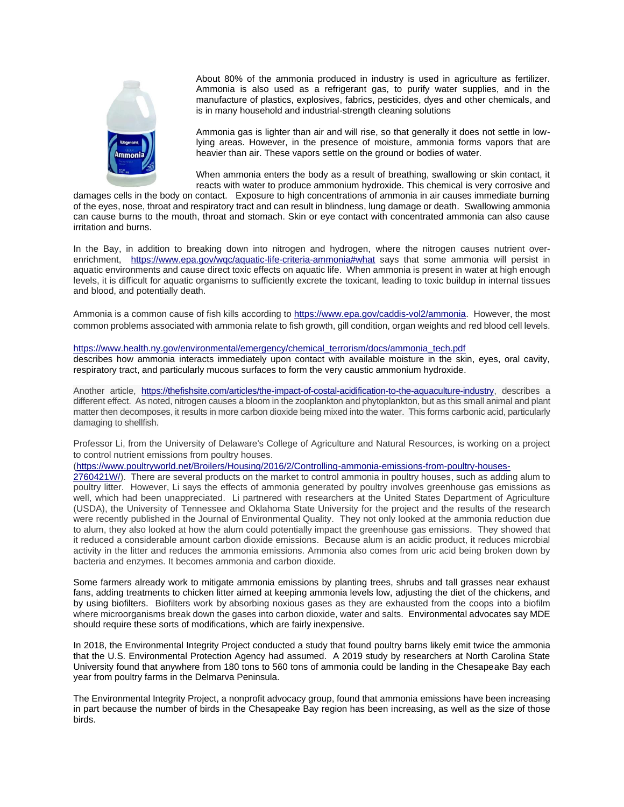

About 80% of the ammonia produced in industry is used in agriculture as fertilizer. Ammonia is also used as a refrigerant gas, to purify water supplies, and in the manufacture of plastics, explosives, fabrics, pesticides, dyes and other chemicals, and is in many household and industrial-strength cleaning solutions

Ammonia gas is lighter than air and will rise, so that generally it does not settle in lowlying areas. However, in the presence of moisture, ammonia forms vapors that are heavier than air. These vapors settle on the ground or bodies of water.

When ammonia enters the body as a result of breathing, swallowing or skin contact, it reacts with water to produce ammonium hydroxide. This chemical is very corrosive and

damages cells in the body on contact. Exposure to high concentrations of ammonia in air causes immediate burning of the eyes, nose, throat and respiratory tract and can result in blindness, lung damage or death. Swallowing ammonia can cause burns to the mouth, throat and stomach. Skin or eye contact with concentrated ammonia can also cause irritation and burns.

In the Bay, in addition to breaking down into nitrogen and hydrogen, where the nitrogen causes nutrient overenrichment, <https://www.epa.gov/wqc/aquatic-life-criteria-ammonia#what> says that some ammonia will persist in aquatic environments and cause direct toxic effects on aquatic life. When ammonia is present in water at high enough levels, it is difficult for aquatic organisms to sufficiently excrete the toxicant, leading to toxic buildup in internal tissues and blood, and potentially death.

Ammonia is a common cause of fish kills according t[o https://www.epa.gov/caddis-vol2/ammonia.](https://www.epa.gov/caddis-vol2/ammonia) However, the most common problems associated with ammonia relate to fish growth, gill condition, organ weights and red blood cell levels.

## [https://www.health.ny.gov/environmental/emergency/chemical\\_terrorism/docs/ammonia\\_tech.pdf](https://www.health.ny.gov/environmental/emergency/chemical_terrorism/docs/ammonia_tech.pdf)

describes how ammonia interacts immediately upon contact with available moisture in the skin, eyes, oral cavity, respiratory tract, and particularly mucous surfaces to form the very caustic ammonium hydroxide.

Another article, [https://thefishsite.com/articles/the-impact-of-costal-acidification-to-the-aquaculture-industry,](https://thefishsite.com/articles/the-impact-of-costal-acidification-to-the-aquaculture-industry) describes a different effect. As noted, nitrogen causes a bloom in the zooplankton and phytoplankton, but as this small animal and plant matter then decomposes, it results in more carbon dioxide being mixed into the water. This forms carbonic acid, particularly damaging to shellfish.

Professor Li, from the University of Delaware's College of Agriculture and Natural Resources, is working on a project to control nutrient emissions from poultry houses.

## [\(https://www.poultryworld.net/Broilers/Housing/2016/2/Controlling-ammonia-emissions-from-poultry-houses-](https://www.poultryworld.net/Broilers/Housing/2016/2/Controlling-ammonia-emissions-from-poultry-houses-2760421W/)

[2760421W/\)](https://www.poultryworld.net/Broilers/Housing/2016/2/Controlling-ammonia-emissions-from-poultry-houses-2760421W/). There are several products on the market to control ammonia in poultry houses, such as adding alum to poultry litter. However, Li says the effects of ammonia generated by poultry involves greenhouse gas emissions as well, which had been unappreciated. Li partnered with researchers at the United States Department of Agriculture (USDA), the University of Tennessee and Oklahoma State University for the project and the results of the research were recently published in the Journal of Environmental Quality. They not only looked at the ammonia reduction due to alum, they also looked at how the alum could potentially impact the greenhouse gas emissions. They showed that it reduced a considerable amount carbon dioxide emissions. Because alum is an acidic product, it reduces microbial activity in the litter and reduces the ammonia emissions. Ammonia also comes from uric acid being broken down by bacteria and enzymes. It becomes ammonia and carbon dioxide.

Some farmers already work to mitigate ammonia emissions by planting trees, shrubs and tall grasses near exhaust fans, adding treatments to chicken litter aimed at keeping ammonia levels low, adjusting the diet of the chickens, and by using biofilters. Biofilters work by absorbing noxious gases as they are exhausted from the coops into a biofilm where microorganisms break down the gases into carbon dioxide, water and salts. Environmental advocates say MDE should require these sorts of modifications, which are fairly inexpensive.

In 2018, the Environmental Integrity Project conducted a study that found poultry barns likely emit twice the ammonia that the U.S. Environmental Protection Agency had assumed. A 2019 study by researchers at North Carolina State University found that anywhere from 180 tons to 560 tons of ammonia could be landing in the Chesapeake Bay each year from poultry farms in the Delmarva Peninsula.

The Environmental Integrity Project, a nonprofit advocacy group, found that ammonia emissions have been increasing in part because the number of birds in the Chesapeake Bay region has been increasing, as well as the size of those birds.